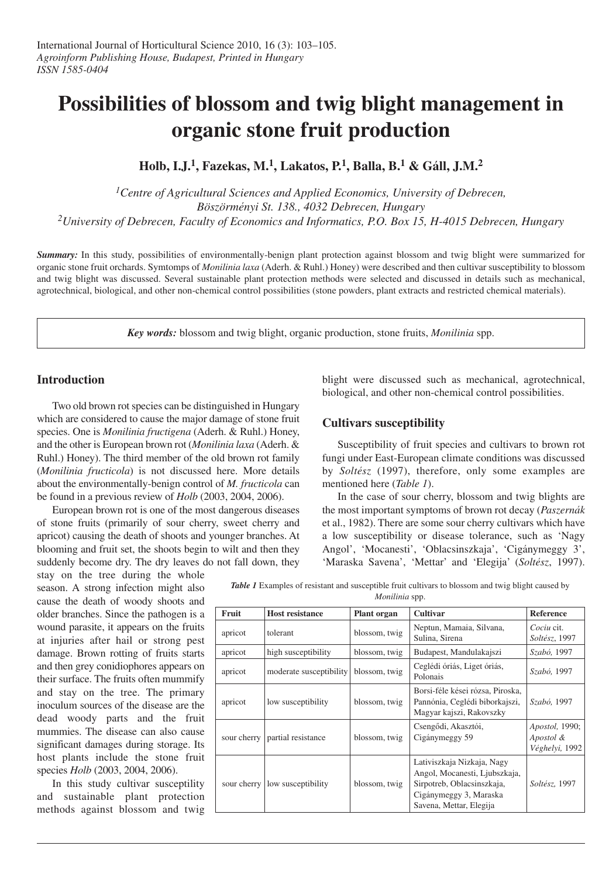# **Possibilities of blossom and twig blight management in organic stone fruit production**

**Holb, I.J. 1, Fazekas, M. 1, Lakatos, P. 1, Balla, B. <sup>1</sup> & Gáll, J.M. 2**

*1Centre of Agricultural Sciences and Applied Economics, University of Debrecen, Böszörményi St. 138., 4032 Debrecen, Hungary 2University of Debrecen, Faculty of Economics and Informatics, P.O. Box 15, H-4015 Debrecen, Hungary*

*Summary:* In this study, possibilities of environmentally-benign plant protection against blossom and twig blight were summarized for organic stone fruit orchards. Symtomps of *Monilinia laxa* (Aderh. & Ruhl.) Honey) were described and then cultivar susceptibility to blossom and twig blight was discussed. Several sustainable plant protection methods were selected and discussed in details such as mechanical, agrotechnical, biological, and other non-chemical control possibilities (stone powders, plant extracts and restricted chemical materials).

*Key words:* blossom and twig blight, organic production, stone fruits, *Monilinia* spp.

## **Introduction**

Two old brown rot species can be distinguished in Hungary which are considered to cause the major damage of stone fruit species. One is *Monilinia fructigena* (Aderh. & Ruhl.) Honey, and the other is European brown rot (*Monilinia laxa* (Aderh. & Ruhl.) Honey). The third member of the old brown rot family (*Monilinia fructicola*) is not discussed here. More details about the environmentally-benign control of *M. fructicola* can be found in a previous review of *Holb* (2003, 2004, 2006).

European brown rot is one of the most dangerous diseases of stone fruits (primarily of sour cherry, sweet cherry and apricot) causing the death of shoots and younger branches. At blooming and fruit set, the shoots begin to wilt and then they suddenly become dry. The dry leaves do not fall down, they

stay on the tree during the whole season. A strong infection might also cause the death of woody shoots and older branches. Since the pathogen is a wound parasite, it appears on the fruits at injuries after hail or strong pest damage. Brown rotting of fruits starts and then grey conidiophores appears on their surface. The fruits often mummify and stay on the tree. The primary inoculum sources of the disease are the dead woody parts and the fruit mummies. The disease can also cause significant damages during storage. Its host plants include the stone fruit species *Holb* (2003, 2004, 2006).

In this study cultivar susceptility and sustainable plant protection methods against blossom and twig blight were discussed such as mechanical, agrotechnical, biological, and other non-chemical control possibilities.

## **Cultivars susceptibility**

Susceptibility of fruit species and cultivars to brown rot fungi under East-European climate conditions was discussed by *Soltész* (1997), therefore, only some examples are mentioned here (*Table 1*).

In the case of sour cherry, blossom and twig blights are the most important symptoms of brown rot decay (*Paszernák* et al., 1982). There are some sour cherry cultivars which have a low susceptibility or disease tolerance, such as 'Nagy Angol', 'Mocanesti', 'Oblacsinszkaja', 'Cigánymeggy 3', 'Maraska Savena', 'Mettar' and 'Elegija' (*Soltész*, 1997).

*Table* 1 Examples of resistant and susceptible fruit cultivars to blossom and twig blight caused by *Monilinia* spp.

| Fruit       | <b>Host resistance</b>  | <b>Plant organ</b> | <b>Cultivar</b>                                                                                                                                | Reference                                     |
|-------------|-------------------------|--------------------|------------------------------------------------------------------------------------------------------------------------------------------------|-----------------------------------------------|
| apricot     | tolerant                | blossom, twig      | Neptun, Mamaia, Silvana,<br>Sulina, Sirena                                                                                                     | Cociu cit.<br>Soltész, 1997                   |
| apricot     | high susceptibility     | blossom, twig      | Budapest, Mandulakajszi                                                                                                                        | Szabó, 1997                                   |
| apricot     | moderate susceptibility | blossom, twig      | Ceglédi óriás, Liget óriás,<br>Polonais                                                                                                        | Szabó, 1997                                   |
| apricot     | low susceptibility      | blossom, twig      | Borsi-féle kései rózsa, Piroska,<br>Pannónia, Ceglédi bíborkajszi,<br>Magyar kajszi, Rakovszky                                                 | Szabó, 1997                                   |
| sour cherry | partial resistance      | blossom, twig      | Csengődi, Akasztói,<br>Cigánymeggy 59                                                                                                          | Apostol, 1990;<br>Apostol &<br>Véghelyi, 1992 |
| sour cherry | low susceptibility      | blossom, twig      | Lativiszkaja Nizkaja, Nagy<br>Angol, Mocanesti, Ljubszkaja,<br>Sirpotreb, Oblacsinszkaja,<br>Cigánymeggy 3, Maraska<br>Savena, Mettar, Elegija | Soltész, 1997                                 |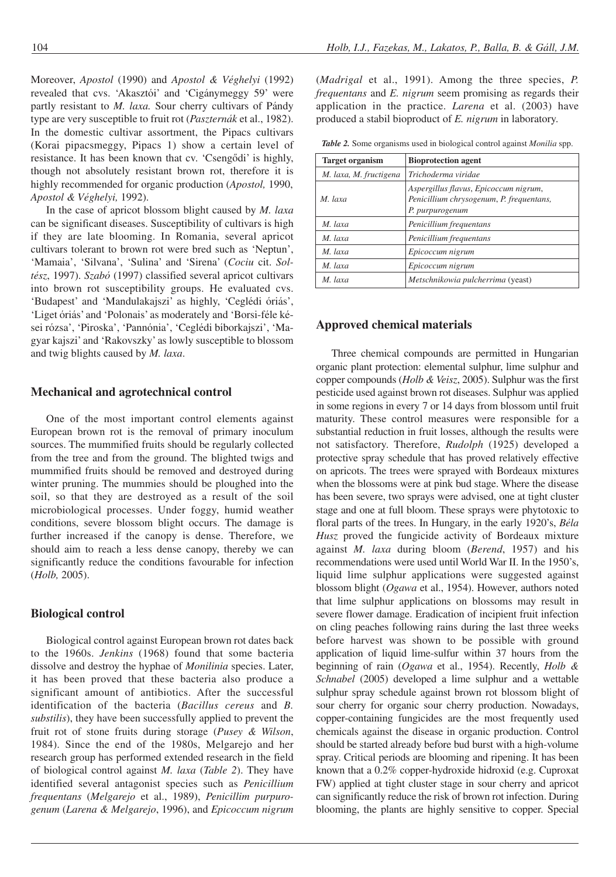Moreover, *Apostol* (1990) and *Apostol & Véghelyi* (1992) revealed that cvs. 'Akasztói' and 'Cigánymeggy 59' were partly resistant to *M. laxa.* Sour cherry cultivars of Pándy type are very susceptible to fruit rot (*Paszternák* et al., 1982). In the domestic cultivar assortment, the Pipacs cultivars (Korai pipacsmeggy, Pipacs 1) show a certain level of resistance. It has been known that cv. 'Csengôdi' is highly, though not absolutely resistant brown rot, therefore it is highly recommended for organic production (*Apostol,* 1990, *Apostol & Véghelyi,* 1992).

In the case of apricot blossom blight caused by *M. laxa* can be significant diseases. Susceptibility of cultivars is high if they are late blooming. In Romania, several apricot cultivars tolerant to brown rot were bred such as 'Neptun', 'Mamaia', 'Silvana', 'Sulina' and 'Sirena' (*Cociu* cit. *Soltész*, 1997). *Szabó* (1997) classified several apricot cultivars into brown rot susceptibility groups. He evaluated cvs. 'Budapest' and 'Mandulakajszi' as highly, 'Ceglédi óriás', 'Liget óriás' and 'Polonais' as moderately and 'Borsi-féle kései rózsa', 'Piroska', 'Pannónia', 'Ceglédi bíborkajszi', 'Magyar kajszi' and 'Rakovszky' as lowly susceptible to blossom and twig blights caused by *M. laxa*.

#### **Mechanical and agrotechnical control**

One of the most important control elements against European brown rot is the removal of primary inoculum sources. The mummified fruits should be regularly collected from the tree and from the ground. The blighted twigs and mummified fruits should be removed and destroyed during winter pruning. The mummies should be ploughed into the soil, so that they are destroyed as a result of the soil microbiological processes. Under foggy, humid weather conditions, severe blossom blight occurs. The damage is further increased if the canopy is dense. Therefore, we should aim to reach a less dense canopy, thereby we can significantly reduce the conditions favourable for infection (*Holb,* 2005).

#### **Biological control**

Biological control against European brown rot dates back to the 1960s. *Jenkins* (1968) found that some bacteria dissolve and destroy the hyphae of *Monilinia* species. Later, it has been proved that these bacteria also produce a significant amount of antibiotics. After the successful identification of the bacteria (*Bacillus cereus* and *B. substilis*), they have been successfully applied to prevent the fruit rot of stone fruits during storage (*Pusey & Wilson*, 1984). Since the end of the 1980s, Melgarejo and her research group has performed extended research in the field of biological control against *M. laxa* (*Table 2*). They have identified several antagonist species such as *Penicillium frequentans* (*Melgarejo* et al., 1989), *Penicillim purpurogenum* (*Larena & Melgarejo*, 1996), and *Epicoccum nigrum*

(*Madrigal* et al., 1991). Among the three species, *P. frequentans* and *E. nigrum* seem promising as regards their application in the practice. *Larena* et al. (2003) have produced a stabil bioproduct of *E. nigrum* in laboratory.

*Table 2.* Some organisms used in biological control against *Monilia* spp.

| <b>Target organism</b> | <b>Bioprotection agent</b>                                                                           |  |  |
|------------------------|------------------------------------------------------------------------------------------------------|--|--|
| M. laxa, M. fructigena | Trichoderma viridae                                                                                  |  |  |
| M. laxa                | Aspergillus flavus, Epicoccum nigrum,<br>Penicillium chrysogenum, P. frequentans,<br>P. purpurogenum |  |  |
| M. laxa                | Penicillium frequentans                                                                              |  |  |
| M laxa                 | Penicillium frequentans                                                                              |  |  |
| M. laxa                | Epicoccum nigrum                                                                                     |  |  |
| M laxa                 | Epicoccum nigrum                                                                                     |  |  |
| M. laxa                | Metschnikowia pulcherrima (yeast)                                                                    |  |  |

## **Approved chemical materials**

Three chemical compounds are permitted in Hungarian organic plant protection: elemental sulphur, lime sulphur and copper compounds (*Holb & Veisz*, 2005). Sulphur was the first pesticide used against brown rot diseases. Sulphur was applied in some regions in every 7 or 14 days from blossom until fruit maturity. These control measures were responsible for a substantial reduction in fruit losses, although the results were not satisfactory. Therefore, *Rudolph* (1925) developed a protective spray schedule that has proved relatively effective on apricots. The trees were sprayed with Bordeaux mixtures when the blossoms were at pink bud stage. Where the disease has been severe, two sprays were advised, one at tight cluster stage and one at full bloom. These sprays were phytotoxic to floral parts of the trees. In Hungary, in the early 1920's, *Béla Husz* proved the fungicide activity of Bordeaux mixture against *M. laxa* during bloom (*Berend*, 1957) and his recommendations were used until World War II. In the 1950's, liquid lime sulphur applications were suggested against blossom blight (*Ogawa* et al., 1954). However, authors noted that lime sulphur applications on blossoms may result in severe flower damage. Eradication of incipient fruit infection on cling peaches following rains during the last three weeks before harvest was shown to be possible with ground application of liquid lime-sulfur within 37 hours from the beginning of rain (*Ogawa* et al., 1954). Recently, *Holb & Schnabel* (2005) developed a lime sulphur and a wettable sulphur spray schedule against brown rot blossom blight of sour cherry for organic sour cherry production. Nowadays, copper-containing fungicides are the most frequently used chemicals against the disease in organic production. Control should be started already before bud burst with a high-volume spray. Critical periods are blooming and ripening. It has been known that a 0.2% copper-hydroxide hidroxid (e.g. Cuproxat FW) applied at tight cluster stage in sour cherry and apricot can significantly reduce the risk of brown rot infection. During blooming, the plants are highly sensitive to copper. Special